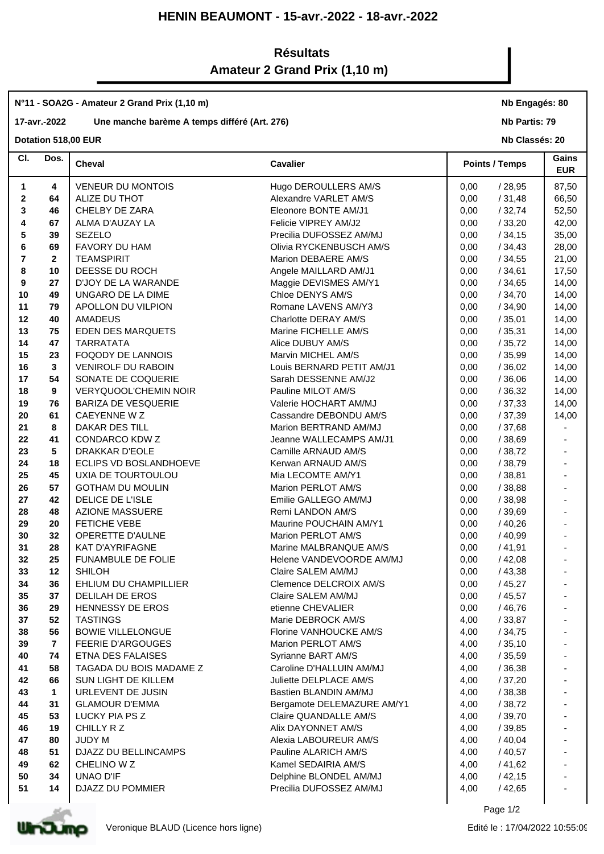### **HENIN BEAUMONT - 15-avr.-2022 - 18-avr.-2022**

## **Résultats Amateur 2 Grand Prix (1,10 m)**

# **N°11 - SOA2G - Amateur 2 Grand Prix (1,10 m)**

#### **17-avr.-2022 Une manche barème A temps différé (Art. 276)**

**Dotation 518,00 EUR** 

**Nb Engagés: 80**

**Nb Partis: 79**

**Nb Classés: 20** 

| CI.          | Dos.         | <b>Cheval</b>                        | <b>Cavalier</b>                                   | <b>Points / Temps</b>            | Gains<br><b>EUR</b>      |
|--------------|--------------|--------------------------------------|---------------------------------------------------|----------------------------------|--------------------------|
| 1            | 4            | <b>VENEUR DU MONTOIS</b>             | Hugo DEROULLERS AM/S                              | /28,95<br>0,00                   | 87,50                    |
| $\mathbf{2}$ | 64           | ALIZE DU THOT                        | Alexandre VARLET AM/S                             | /31,48<br>0,00                   | 66,50                    |
| 3            | 46           | CHELBY DE ZARA                       | Eleonore BONTE AM/J1                              | /32,74<br>0,00                   | 52,50                    |
| 4            | 67           | ALMA D'AUZAY LA                      | Felicie VIPREY AM/J2                              | /33,20<br>0,00                   | 42,00                    |
| 5            | 39           | <b>SEZELO</b>                        | Precilia DUFOSSEZ AM/MJ                           | /34,15<br>0,00                   | 35,00                    |
| 6            | 69           | FAVORY DU HAM                        | Olivia RYCKENBUSCH AM/S                           | /34,43<br>0,00                   | 28,00                    |
| 7            | $\mathbf{2}$ | <b>TEAMSPIRIT</b>                    | Marion DEBAERE AM/S                               | /34,55<br>0,00                   | 21,00                    |
| 8            | 10           | DEESSE DU ROCH                       | Angele MAILLARD AM/J1                             | /34,61<br>0,00                   | 17,50                    |
| 9            | 27           | D'JOY DE LA WARANDE                  | Maggie DEVISMES AM/Y1                             | /34,65<br>0,00                   | 14,00                    |
| 10           | 49           | UNGARO DE LA DIME                    | Chloe DENYS AM/S                                  | /34,70<br>0,00                   | 14,00                    |
| 11           | 79           | APOLLON DU VILPION                   | Romane LAVENS AM/Y3                               | /34,90<br>0,00                   | 14,00                    |
| 12           | 40           | AMADEUS                              | Charlotte DERAY AM/S                              | /35,01<br>0,00                   | 14,00                    |
| 13           | 75           | <b>EDEN DES MARQUETS</b>             | Marine FICHELLE AM/S                              | /35,31<br>0,00                   | 14,00                    |
| 14           | 47           | <b>TARRATATA</b>                     | Alice DUBUY AM/S                                  | /35,72<br>0,00                   | 14,00                    |
| 15           | 23           | <b>FOQODY DE LANNOIS</b>             | Marvin MICHEL AM/S                                | 0,00<br>/35,99                   | 14,00                    |
| 16           | 3            | VENIROLF DU RABOIN                   | Louis BERNARD PETIT AM/J1                         | /36,02<br>0,00                   | 14,00                    |
| 17           | 54           | SONATE DE COQUERIE                   | Sarah DESSENNE AM/J2                              | 0,00<br>/36,06                   | 14,00                    |
| 18           | 9            | VERYQUOOL'CHEMIN NOIR                | Pauline MILOT AM/S                                | /36,32<br>0,00                   | 14,00                    |
| 19           | 76           | <b>BARIZA DE VESQUERIE</b>           | Valerie HOCHART AM/MJ                             | /37,33<br>0,00                   | 14,00                    |
| 20           | 61           | CAEYENNE W Z                         | Cassandre DEBONDU AM/S                            | /37,39<br>0,00                   | 14,00                    |
| 21           | 8            | DAKAR DES TILL                       | Marion BERTRAND AM/MJ                             | /37,68<br>0,00                   |                          |
| 22           | 41           | CONDARCO KDW Z                       | Jeanne WALLECAMPS AM/J1                           | /38,69<br>0,00                   |                          |
| 23           | 5            | DRAKKAR D'EOLE                       | Camille ARNAUD AM/S                               | /38,72<br>0,00                   |                          |
| 24           | 18           | ECLIPS VD BOSLANDHOEVE               | Kerwan ARNAUD AM/S                                | /38,79<br>0,00                   | $\blacksquare$           |
| 25           | 45           | UXIA DE TOURTOULOU                   | Mia LECOMTE AM/Y1                                 | /38,81<br>0,00                   | $\overline{\phantom{a}}$ |
| 26           | 57           | <b>GOTHAM DU MOULIN</b>              | Marion PERLOT AM/S                                | /38,88<br>0,00                   |                          |
| 27           | 42           | DELICE DE L'ISLE                     | Emilie GALLEGO AM/MJ                              | 0,00<br>/38,98                   |                          |
| 28           | 48           | <b>AZIONE MASSUERE</b>               | Remi LANDON AM/S                                  | /39,69<br>0,00                   | $\blacksquare$           |
| 29           | 20           | <b>FETICHE VEBE</b>                  | Maurine POUCHAIN AM/Y1                            | /40,26<br>0,00                   | $\blacksquare$           |
| 30           | 32           | OPERETTE D'AULNE                     | Marion PERLOT AM/S                                | /40,99<br>0,00                   |                          |
| 31           | 28           | <b>KAT D'AYRIFAGNE</b>               | Marine MALBRANQUE AM/S                            | /41,91<br>0,00                   | $\overline{\phantom{a}}$ |
| 32           | 25           | FUNAMBULE DE FOLIE                   | Helene VANDEVOORDE AM/MJ                          | /42,08<br>0,00                   |                          |
| 33           | 12           | <b>SHILOH</b>                        | Claire SALEM AM/MJ                                | /43,38<br>0,00                   |                          |
| 34           | 36           | EHLIUM DU CHAMPILLIER                | Clemence DELCROIX AM/S                            | /45,27<br>0,00                   |                          |
| 35           | 37           | DELILAH DE EROS                      | Claire SALEM AM/MJ                                | 0,00<br>/45,57                   |                          |
| 36           | 29           | <b>HENNESSY DE EROS</b>              | etienne CHEVALIER                                 | 0,00<br>/46,76                   |                          |
| 37           | 52           | <b>TASTINGS</b>                      | Marie DEBROCK AM/S                                | /33,87<br>4,00                   |                          |
| 38           | 56           | <b>BOWIE VILLELONGUE</b>             | Florine VANHOUCKE AM/S                            | /34,75<br>4,00                   |                          |
| 39           | 7            | <b>FEERIE D'ARGOUGES</b>             | Marion PERLOT AM/S                                | 4,00<br>/35,10                   |                          |
| 40           | 74           | ETNA DES FALAISES                    | Syrianne BART AM/S                                | /35,59<br>4,00                   |                          |
| 41           | 58           | TAGADA DU BOIS MADAME Z              | Caroline D'HALLUIN AM/MJ                          | 4,00<br>/36,38                   |                          |
| 42           | 66           | <b>SUN LIGHT DE KILLEM</b>           | Juliette DELPLACE AM/S                            | 4,00<br>/37,20                   |                          |
| 43           | 1            | URLEVENT DE JUSIN                    | Bastien BLANDIN AM/MJ                             | 4,00<br>/38,38                   |                          |
| 44           | 31           | <b>GLAMOUR D'EMMA</b>                | Bergamote DELEMAZURE AM/Y1                        | 4,00<br>/38,72                   |                          |
| 45           | 53           | LUCKY PIA PS Z                       | Claire QUANDALLE AM/S                             | 4,00<br>/39,70                   |                          |
| 46           | 19           | CHILLY R Z                           | Alix DAYONNET AM/S                                | 4,00<br>/39,85                   |                          |
| 47           | 80           | <b>JUDY M</b>                        | Alexia LABOUREUR AM/S                             | /40,04<br>4,00                   |                          |
| 48           | 51           | DJAZZ DU BELLINCAMPS                 | Pauline ALARICH AM/S                              | 4,00<br>/40,57                   |                          |
| 49           | 62           | CHELINO W Z                          | Kamel SEDAIRIA AM/S                               | /41,62<br>4,00                   |                          |
| 50<br>51     | 34<br>14     | <b>UNAO D'IF</b><br>DJAZZ DU POMMIER | Delphine BLONDEL AM/MJ<br>Precilia DUFOSSEZ AM/MJ | /42,15<br>4,00<br>4,00<br>/42,65 |                          |
|              |              |                                      |                                                   |                                  |                          |
|              |              |                                      |                                                   |                                  |                          |